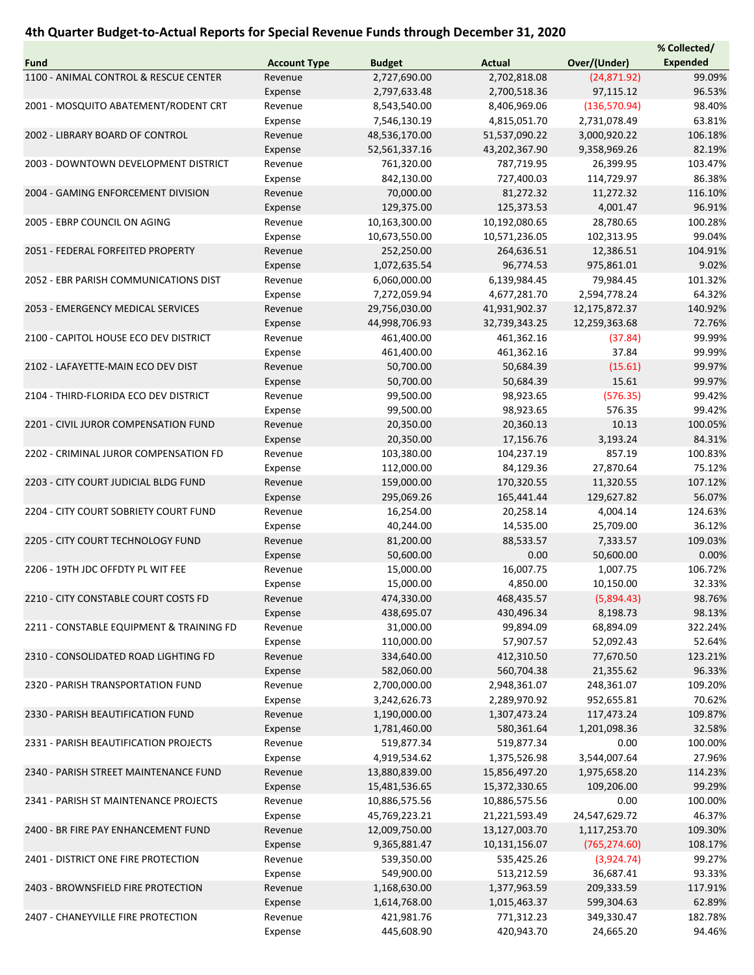## 4th Quarter Budget-to-Actual Reports for Special Revenue Funds through December 31, 2020

|                                          |                     |               |               |               | % Collected/    |
|------------------------------------------|---------------------|---------------|---------------|---------------|-----------------|
| Fund                                     | <b>Account Type</b> | <b>Budget</b> | <b>Actual</b> | Over/(Under)  | <b>Expended</b> |
| 1100 - ANIMAL CONTROL & RESCUE CENTER    | Revenue             | 2,727,690.00  | 2,702,818.08  | (24, 871.92)  | 99.09%          |
|                                          | Expense             | 2,797,633.48  | 2,700,518.36  | 97,115.12     | 96.53%          |
| 2001 - MOSQUITO ABATEMENT/RODENT CRT     | Revenue             | 8,543,540.00  | 8,406,969.06  | (136, 570.94) | 98.40%          |
|                                          | Expense             | 7,546,130.19  | 4,815,051.70  | 2,731,078.49  | 63.81%          |
| 2002 - LIBRARY BOARD OF CONTROL          | Revenue             | 48,536,170.00 | 51,537,090.22 | 3,000,920.22  | 106.18%         |
|                                          | Expense             | 52,561,337.16 | 43,202,367.90 | 9,358,969.26  | 82.19%          |
|                                          |                     |               |               |               |                 |
| 2003 - DOWNTOWN DEVELOPMENT DISTRICT     | Revenue             | 761,320.00    | 787,719.95    | 26,399.95     | 103.47%         |
|                                          | Expense             | 842,130.00    | 727,400.03    | 114,729.97    | 86.38%          |
| 2004 - GAMING ENFORCEMENT DIVISION       | Revenue             | 70,000.00     | 81,272.32     | 11,272.32     | 116.10%         |
|                                          | Expense             | 129,375.00    | 125,373.53    | 4,001.47      | 96.91%          |
| 2005 - EBRP COUNCIL ON AGING             | Revenue             | 10,163,300.00 | 10,192,080.65 | 28,780.65     | 100.28%         |
|                                          | Expense             | 10,673,550.00 | 10,571,236.05 | 102,313.95    | 99.04%          |
| 2051 - FEDERAL FORFEITED PROPERTY        | Revenue             | 252,250.00    | 264,636.51    | 12,386.51     | 104.91%         |
|                                          | Expense             | 1,072,635.54  | 96,774.53     | 975,861.01    | 9.02%           |
| 2052 - EBR PARISH COMMUNICATIONS DIST    | Revenue             | 6,060,000.00  | 6,139,984.45  | 79,984.45     | 101.32%         |
|                                          | Expense             | 7,272,059.94  | 4,677,281.70  | 2,594,778.24  | 64.32%          |
| 2053 - EMERGENCY MEDICAL SERVICES        | Revenue             | 29,756,030.00 | 41,931,902.37 | 12,175,872.37 | 140.92%         |
|                                          | Expense             | 44,998,706.93 | 32,739,343.25 | 12,259,363.68 | 72.76%          |
| 2100 - CAPITOL HOUSE ECO DEV DISTRICT    | Revenue             | 461,400.00    | 461,362.16    | (37.84)       | 99.99%          |
|                                          | Expense             | 461,400.00    | 461,362.16    | 37.84         | 99.99%          |
|                                          |                     |               |               |               |                 |
| 2102 - LAFAYETTE-MAIN ECO DEV DIST       | Revenue             | 50,700.00     | 50,684.39     | (15.61)       | 99.97%          |
|                                          | Expense             | 50,700.00     | 50,684.39     | 15.61         | 99.97%          |
| 2104 - THIRD-FLORIDA ECO DEV DISTRICT    | Revenue             | 99,500.00     | 98,923.65     | (576.35)      | 99.42%          |
|                                          | Expense             | 99,500.00     | 98,923.65     | 576.35        | 99.42%          |
| 2201 - CIVIL JUROR COMPENSATION FUND     | Revenue             | 20,350.00     | 20,360.13     | 10.13         | 100.05%         |
|                                          | Expense             | 20,350.00     | 17,156.76     | 3,193.24      | 84.31%          |
| 2202 - CRIMINAL JUROR COMPENSATION FD    | Revenue             | 103,380.00    | 104,237.19    | 857.19        | 100.83%         |
|                                          | Expense             | 112,000.00    | 84,129.36     | 27,870.64     | 75.12%          |
| 2203 - CITY COURT JUDICIAL BLDG FUND     | Revenue             | 159,000.00    | 170,320.55    | 11,320.55     | 107.12%         |
|                                          | Expense             | 295,069.26    | 165,441.44    | 129,627.82    | 56.07%          |
| 2204 - CITY COURT SOBRIETY COURT FUND    | Revenue             | 16,254.00     | 20,258.14     | 4,004.14      | 124.63%         |
|                                          | Expense             | 40,244.00     | 14,535.00     | 25,709.00     | 36.12%          |
| 2205 - CITY COURT TECHNOLOGY FUND        | Revenue             | 81,200.00     | 88,533.57     | 7,333.57      | 109.03%         |
|                                          | Expense             | 50,600.00     | 0.00          | 50,600.00     | 0.00%           |
| 2206 - 19TH JDC OFFDTY PL WIT FEE        | Revenue             | 15,000.00     |               | 1,007.75      | 106.72%         |
|                                          |                     |               | 16,007.75     |               |                 |
|                                          | Expense             | 15,000.00     | 4,850.00      | 10,150.00     | 32.33%          |
| 2210 - CITY CONSTABLE COURT COSTS FD     | Revenue             | 474,330.00    | 468,435.57    | (5,894.43)    | 98.76%          |
|                                          | Expense             | 438,695.07    | 430,496.34    | 8,198.73      | 98.13%          |
| 2211 - CONSTABLE EQUIPMENT & TRAINING FD | Revenue             | 31,000.00     | 99,894.09     | 68,894.09     | 322.24%         |
|                                          | Expense             | 110,000.00    | 57,907.57     | 52,092.43     | 52.64%          |
| 2310 - CONSOLIDATED ROAD LIGHTING FD     | Revenue             | 334,640.00    | 412,310.50    | 77,670.50     | 123.21%         |
|                                          | Expense             | 582,060.00    | 560,704.38    | 21,355.62     | 96.33%          |
| 2320 - PARISH TRANSPORTATION FUND        | Revenue             | 2,700,000.00  | 2,948,361.07  | 248,361.07    | 109.20%         |
|                                          | Expense             | 3,242,626.73  | 2,289,970.92  | 952,655.81    | 70.62%          |
| 2330 - PARISH BEAUTIFICATION FUND        | Revenue             | 1,190,000.00  | 1,307,473.24  | 117,473.24    | 109.87%         |
|                                          | Expense             | 1,781,460.00  | 580,361.64    | 1,201,098.36  | 32.58%          |
| 2331 - PARISH BEAUTIFICATION PROJECTS    | Revenue             | 519,877.34    | 519,877.34    | 0.00          | 100.00%         |
|                                          | Expense             | 4,919,534.62  | 1,375,526.98  | 3,544,007.64  | 27.96%          |
| 2340 - PARISH STREET MAINTENANCE FUND    | Revenue             | 13,880,839.00 | 15,856,497.20 | 1,975,658.20  | 114.23%         |
|                                          |                     |               |               |               |                 |
|                                          | Expense             | 15,481,536.65 | 15,372,330.65 | 109,206.00    | 99.29%          |
| 2341 - PARISH ST MAINTENANCE PROJECTS    | Revenue             | 10,886,575.56 | 10,886,575.56 | 0.00          | 100.00%         |
|                                          | Expense             | 45,769,223.21 | 21,221,593.49 | 24,547,629.72 | 46.37%          |
| 2400 - BR FIRE PAY ENHANCEMENT FUND      | Revenue             | 12,009,750.00 | 13,127,003.70 | 1,117,253.70  | 109.30%         |
|                                          | Expense             | 9,365,881.47  | 10,131,156.07 | (765, 274.60) | 108.17%         |
| 2401 - DISTRICT ONE FIRE PROTECTION      | Revenue             | 539,350.00    | 535,425.26    | (3,924.74)    | 99.27%          |
|                                          | Expense             | 549,900.00    | 513,212.59    | 36,687.41     | 93.33%          |
| 2403 - BROWNSFIELD FIRE PROTECTION       | Revenue             | 1,168,630.00  | 1,377,963.59  | 209,333.59    | 117.91%         |
|                                          | Expense             | 1,614,768.00  | 1,015,463.37  | 599,304.63    | 62.89%          |
| 2407 - CHANEYVILLE FIRE PROTECTION       | Revenue             | 421,981.76    | 771,312.23    | 349,330.47    | 182.78%         |
|                                          | Expense             | 445,608.90    | 420,943.70    | 24,665.20     | 94.46%          |
|                                          |                     |               |               |               |                 |